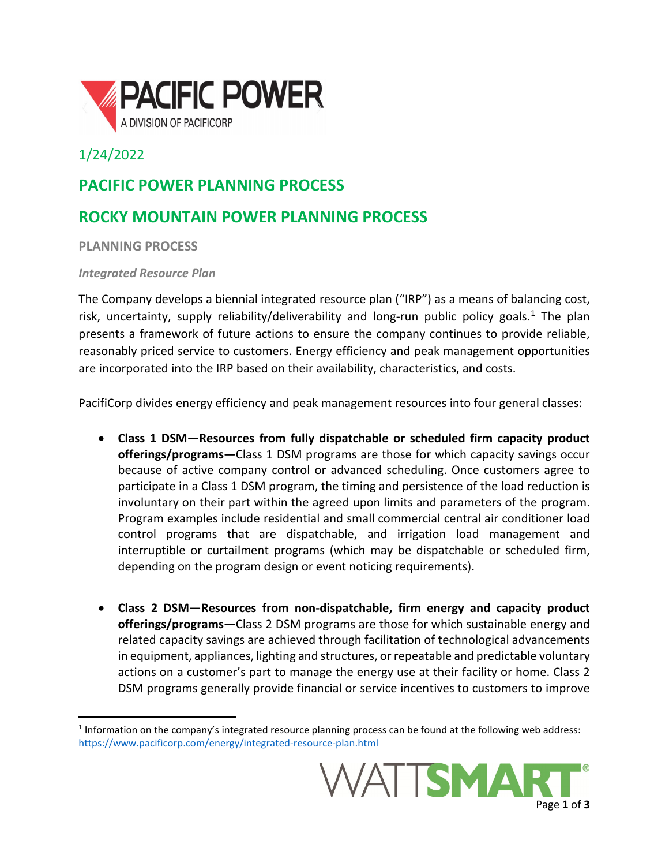

## 1/24/2022

# **PACIFIC POWER PLANNING PROCESS**

# **ROCKY MOUNTAIN POWER PLANNING PROCESS**

**PLANNING PROCESS**

### *Integrated Resource Plan*

The Company develops a biennial integrated resource plan ("IRP") as a means of balancing cost, risk, uncertainty, supply reliability/deliverability and long-run public policy goals.[1](#page-0-0) The plan presents a framework of future actions to ensure the company continues to provide reliable, reasonably priced service to customers. Energy efficiency and peak management opportunities are incorporated into the IRP based on their availability, characteristics, and costs.

PacifiCorp divides energy efficiency and peak management resources into four general classes:

- **Class 1 DSM—Resources from fully dispatchable or scheduled firm capacity product offerings/programs—**Class 1 DSM programs are those for which capacity savings occur because of active company control or advanced scheduling. Once customers agree to participate in a Class 1 DSM program, the timing and persistence of the load reduction is involuntary on their part within the agreed upon limits and parameters of the program. Program examples include residential and small commercial central air conditioner load control programs that are dispatchable, and irrigation load management and interruptible or curtailment programs (which may be dispatchable or scheduled firm, depending on the program design or event noticing requirements).
- **Class 2 DSM—Resources from non-dispatchable, firm energy and capacity product offerings/programs—**Class 2 DSM programs are those for which sustainable energy and related capacity savings are achieved through facilitation of technological advancements in equipment, appliances, lighting and structures, or repeatable and predictable voluntary actions on a customer's part to manage the energy use at their facility or home. Class 2 DSM programs generally provide financial or service incentives to customers to improve

<span id="page-0-0"></span><sup>1</sup> Information on the company's integrated resource planning process can be found at the following web address: <https://www.pacificorp.com/energy/integrated-resource-plan.html>

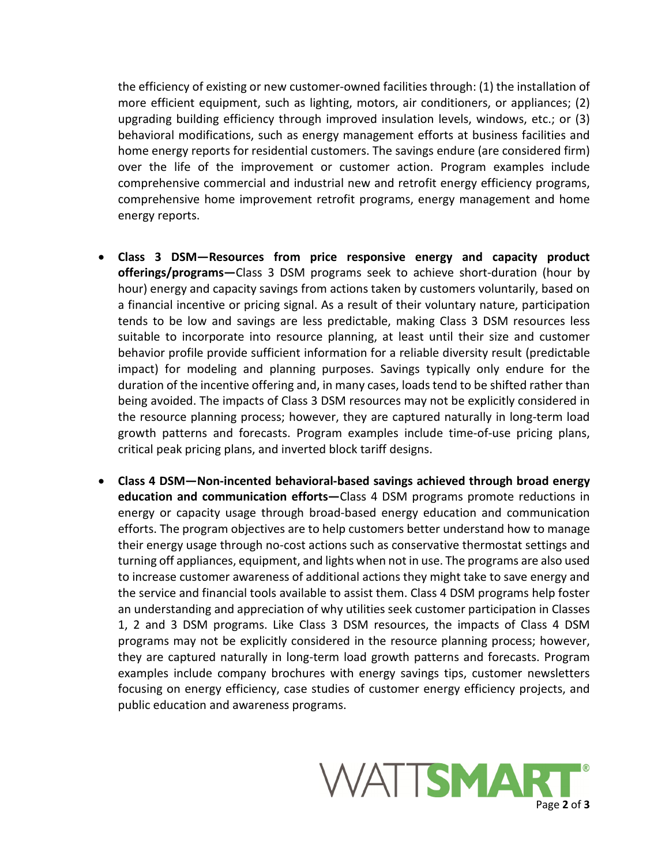the efficiency of existing or new customer-owned facilities through: (1) the installation of more efficient equipment, such as lighting, motors, air conditioners, or appliances; (2) upgrading building efficiency through improved insulation levels, windows, etc.; or (3) behavioral modifications, such as energy management efforts at business facilities and home energy reports for residential customers. The savings endure (are considered firm) over the life of the improvement or customer action. Program examples include comprehensive commercial and industrial new and retrofit energy efficiency programs, comprehensive home improvement retrofit programs, energy management and home energy reports.

- **Class 3 DSM—Resources from price responsive energy and capacity product offerings/programs—**Class 3 DSM programs seek to achieve short-duration (hour by hour) energy and capacity savings from actions taken by customers voluntarily, based on a financial incentive or pricing signal. As a result of their voluntary nature, participation tends to be low and savings are less predictable, making Class 3 DSM resources less suitable to incorporate into resource planning, at least until their size and customer behavior profile provide sufficient information for a reliable diversity result (predictable impact) for modeling and planning purposes. Savings typically only endure for the duration of the incentive offering and, in many cases, loads tend to be shifted rather than being avoided. The impacts of Class 3 DSM resources may not be explicitly considered in the resource planning process; however, they are captured naturally in long-term load growth patterns and forecasts. Program examples include time-of-use pricing plans, critical peak pricing plans, and inverted block tariff designs.
- **Class 4 DSM—Non-incented behavioral-based savings achieved through broad energy education and communication efforts—**Class 4 DSM programs promote reductions in energy or capacity usage through broad-based energy education and communication efforts. The program objectives are to help customers better understand how to manage their energy usage through no-cost actions such as conservative thermostat settings and turning off appliances, equipment, and lights when not in use. The programs are also used to increase customer awareness of additional actions they might take to save energy and the service and financial tools available to assist them. Class 4 DSM programs help foster an understanding and appreciation of why utilities seek customer participation in Classes 1, 2 and 3 DSM programs. Like Class 3 DSM resources, the impacts of Class 4 DSM programs may not be explicitly considered in the resource planning process; however, they are captured naturally in long-term load growth patterns and forecasts. Program examples include company brochures with energy savings tips, customer newsletters focusing on energy efficiency, case studies of customer energy efficiency projects, and public education and awareness programs.